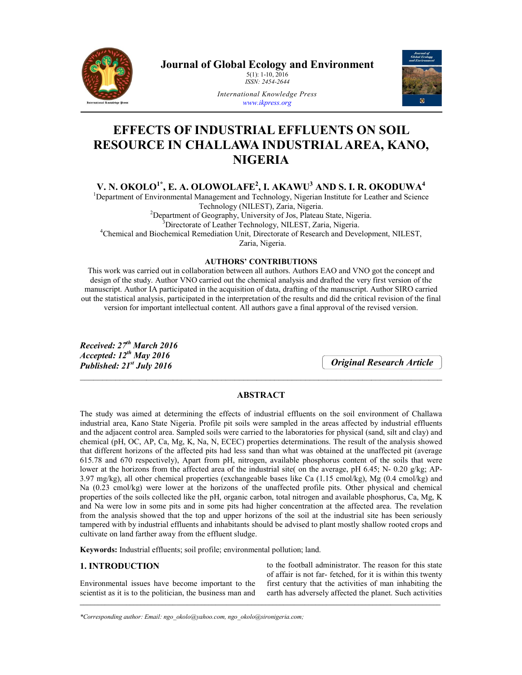

**Journal of Global Ecology and Environment**  5(1): 1-10, 2016

*ISSN: 2454-2644*



*International Knowledge Press www.ikpress.org*

# **EFFECTS OF INDUSTRIAL EFFLUENTS ON SOIL RESOURCE IN CHALLAWA INDUSTRIAL AREA, KANO, NIGERIA**

**V. N. OKOLO1\*, E. A. OLOWOLAFE2 , I. AKAWU3 AND S. I. R. OKODUWA4**

<sup>1</sup>Department of Environmental Management and Technology, Nigerian Institute for Leather and Science Technology (NILEST), Zaria, Nigeria.<br><sup>2</sup>Department of Geography, University of Los. Plateau Department of Geography, University of Jos, Plateau State, Nigeria.<br><sup>3</sup>Directorate of Leather Technology, NILEST, Zeria, Nigeria. Directorate of Leather Technology, NILEST, Zaria, Nigeria. <sup>4</sup> Chemical and Biochemical Remediation Unit, Directorate of Research and Development, NILEST,

Zaria, Nigeria.

## **AUTHORS' CONTRIBUTIONS**

This work was carried out in collaboration between all authors. Authors EAO and VNO got the concept and design of the study. Author VNO carried out the chemical analysis and drafted the very first version of the manuscript. Author IA participated in the acquisition of data, drafting of the manuscript. Author SIRO carried out the statistical analysis, participated in the interpretation of the results and did the critical revision of the final version for important intellectual content. All authors gave a final approval of the revised version.

*Received: 27th March 2016 Accepted: 12th May 2016 Published: 21st July 2016*

*Original Research Article*

# **ABSTRACT**

\_\_\_\_\_\_\_\_\_\_\_\_\_\_\_\_\_\_\_\_\_\_\_\_\_\_\_\_\_\_\_\_\_\_\_\_\_\_\_\_\_\_\_\_\_\_\_\_\_\_\_\_\_\_\_\_\_\_\_\_\_\_\_\_\_\_\_\_\_\_\_\_\_\_\_\_\_\_\_\_\_\_

The study was aimed at determining the effects of industrial effluents on the soil environment of Challawa industrial area, Kano State Nigeria. Profile pit soils were sampled in the areas affected by industrial effluents and the adjacent control area. Sampled soils were carried to the laboratories for physical (sand, silt and clay) and chemical (pH, OC, AP, Ca, Mg, K, Na, N, ECEC) properties determinations. The result of the analysis showed that different horizons of the affected pits had less sand than what was obtained at the unaffected pit (average 615.78 and 670 respectively), Apart from pH, nitrogen, available phosphorus content of the soils that were lower at the horizons from the affected area of the industrial site( on the average, pH 6.45; N- 0.20 g/kg; AP-3.97 mg/kg), all other chemical properties (exchangeable bases like Ca (1.15 cmol/kg), Mg (0.4 cmol/kg) and Na (0.23 cmol/kg) were lower at the horizons of the unaffected profile pits. Other physical and chemical properties of the soils collected like the pH, organic carbon, total nitrogen and available phosphorus, Ca, Mg, K and Na were low in some pits and in some pits had higher concentration at the affected area. The revelation from the analysis showed that the top and upper horizons of the soil at the industrial site has been seriously tampered with by industrial effluents and inhabitants should be advised to plant mostly shallow rooted crops and cultivate on land farther away from the effluent sludge.

\_\_\_\_\_\_\_\_\_\_\_\_\_\_\_\_\_\_\_\_\_\_\_\_\_\_\_\_\_\_\_\_\_\_\_\_\_\_\_\_\_\_\_\_\_\_\_\_\_\_\_\_\_\_\_\_\_\_\_\_\_\_\_\_\_\_\_\_\_\_\_\_\_\_\_\_\_\_\_\_\_\_\_\_\_\_\_\_\_\_\_\_\_\_\_\_\_\_\_\_\_

**Keywords:** Industrial effluents; soil profile; environmental pollution; land.

# **1. INTRODUCTION**

Environmental issues have become important to the scientist as it is to the politician, the business man and to the football administrator. The reason for this state of affair is not far- fetched, for it is within this twenty first century that the activities of man inhabiting the earth has adversely affected the planet. Such activities

*\*Corresponding author: Email: ngo\_okolo@yahoo.com, ngo\_okolo@sironigeria.com;*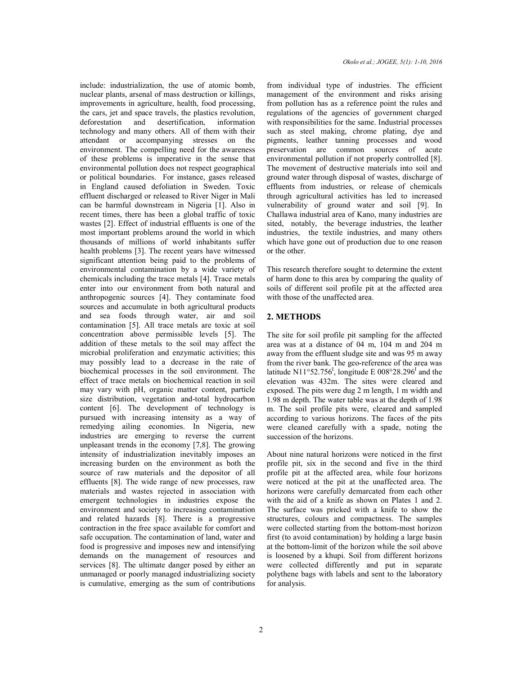include: industrialization, the use of atomic bomb, nuclear plants, arsenal of mass destruction or killings, improvements in agriculture, health, food processing, the cars, jet and space travels, the plastics revolution, deforestation and desertification, information technology and many others. All of them with their attendant or accompanying stresses on the environment. The compelling need for the awareness of these problems is imperative in the sense that environmental pollution does not respect geographical or political boundaries. For instance, gases released in England caused defoliation in Sweden. Toxic effluent discharged or released to River Niger in Mali can be harmful downstream in Nigeria [1]. Also in recent times, there has been a global traffic of toxic wastes [2]. Effect of industrial effluents is one of the most important problems around the world in which thousands of millions of world inhabitants suffer health problems [3]. The recent years have witnessed significant attention being paid to the problems of environmental contamination by a wide variety of chemicals including the trace metals [4]. Trace metals enter into our environment from both natural and anthropogenic sources [4]. They contaminate food sources and accumulate in both agricultural products and sea foods through water, air and soil contamination [5]. All trace metals are toxic at soil concentration above permissible levels [5]. The addition of these metals to the soil may affect the microbial proliferation and enzymatic activities; this may possibly lead to a decrease in the rate of biochemical processes in the soil environment. The effect of trace metals on biochemical reaction in soil may vary with pH, organic matter content, particle size distribution, vegetation and-total hydrocarbon content [6]. The development of technology is pursued with increasing intensity as a way of remedying ailing economies. In Nigeria, new industries are emerging to reverse the current unpleasant trends in the economy [7,8]. The growing intensity of industrialization inevitably imposes an increasing burden on the environment as both the source of raw materials and the depositor of all effluents [8]. The wide range of new processes, raw materials and wastes rejected in association with emergent technologies in industries expose the environment and society to increasing contamination and related hazards [8]. There is a progressive contraction in the free space available for comfort and safe occupation. The contamination of land, water and food is progressive and imposes new and intensifying demands on the management of resources and services [8]. The ultimate danger posed by either an unmanaged or poorly managed industrializing society is cumulative, emerging as the sum of contributions

from individual type of industries. The efficient management of the environment and risks arising from pollution has as a reference point the rules and regulations of the agencies of government charged with responsibilities for the same. Industrial processes such as steel making, chrome plating, dye and pigments, leather tanning processes and wood preservation are common sources of acute environmental pollution if not properly controlled [8]. The movement of destructive materials into soil and ground water through disposal of wastes, discharge of effluents from industries, or release of chemicals through agricultural activities has led to increased vulnerability of ground water and soil [9]. In Challawa industrial area of Kano, many industries are sited, notably, the beverage industries, the leather industries, the textile industries, and many others which have gone out of production due to one reason or the other.

This research therefore sought to determine the extent of harm done to this area by comparing the quality of soils of different soil profile pit at the affected area with those of the unaffected area.

#### **2. METHODS**

The site for soil profile pit sampling for the affected area was at a distance of 04 m, 104 m and 204 m away from the effluent sludge site and was 95 m away from the river bank. The geo-reference of the area was latitude N11°52.756<sup>I</sup>, longitude E 008°28.296<sup>I</sup> and the elevation was 432m. The sites were cleared and exposed. The pits were dug 2 m length, 1 m width and 1.98 m depth. The water table was at the depth of 1.98 m. The soil profile pits were, cleared and sampled according to various horizons. The faces of the pits were cleaned carefully with a spade, noting the succession of the horizons.

About nine natural horizons were noticed in the first profile pit, six in the second and five in the third profile pit at the affected area, while four horizons were noticed at the pit at the unaffected area. The horizons were carefully demarcated from each other with the aid of a knife as shown on Plates 1 and 2. The surface was pricked with a knife to show the structures, colours and compactness. The samples were collected starting from the bottom-most horizon first (to avoid contamination) by holding a large basin at the bottom-limit of the horizon while the soil above is loosened by a khupi. Soil from different horizons were collected differently and put in separate polythene bags with labels and sent to the laboratory for analysis.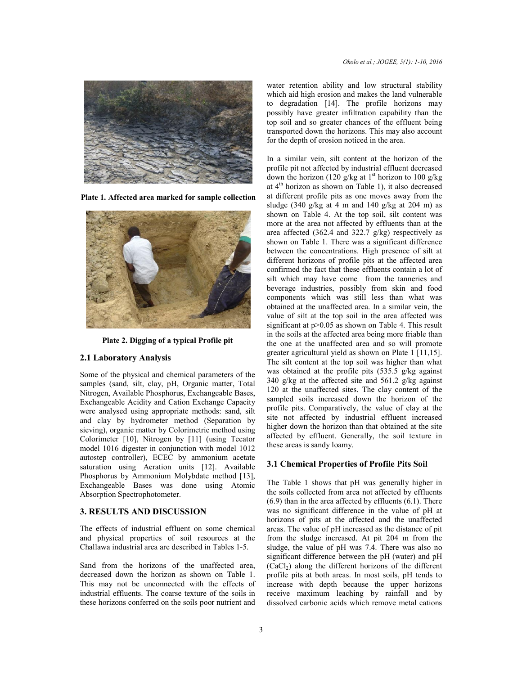

**Plate 1. Affected area marked for sample collection**



**Plate 2. Digging of a typical Profile pit**

#### **2.1 Laboratory Analysis**

Some of the physical and chemical parameters of the samples (sand, silt, clay, pH, Organic matter, Total Nitrogen, Available Phosphorus, Exchangeable Bases, Exchangeable Acidity and Cation Exchange Capacity were analysed using appropriate methods: sand, silt and clay by hydrometer method (Separation by sieving), organic matter by Colorimetric method using Colorimeter [10], Nitrogen by [11] (using Tecator model 1016 digester in conjunction with model 1012 autostep controller), ECEC by ammonium acetate saturation using Aeration units [12]. Available Phosphorus by Ammonium Molybdate method [13], Exchangeable Bases was done using Atomic Absorption Spectrophotometer.

#### **3. RESULTS AND DISCUSSION**

The effects of industrial effluent on some chemical and physical properties of soil resources at the Challawa industrial area are described in Tables 1-5.

Sand from the horizons of the unaffected area, decreased down the horizon as shown on Table 1. This may not be unconnected with the effects of industrial effluents. The coarse texture of the soils in these horizons conferred on the soils poor nutrient and water retention ability and low structural stability which aid high erosion and makes the land vulnerable to degradation [14]. The profile horizons may possibly have greater infiltration capability than the top soil and so greater chances of the effluent being transported down the horizons. This may also account for the depth of erosion noticed in the area.

In a similar vein, silt content at the horizon of the profile pit not affected by industrial effluent decreased down the horizon (120 g/kg at 1<sup>st</sup> horizon to 100 g/kg at  $4<sup>th</sup>$  horizon as shown on Table 1), it also decreased at different profile pits as one moves away from the sludge (340 g/kg at 4 m and 140 g/kg at 204 m) as shown on Table 4. At the top soil, silt content was more at the area not affected by effluents than at the area affected (362.4 and 322.7 g/kg) respectively as shown on Table 1. There was a significant difference between the concentrations. High presence of silt at different horizons of profile pits at the affected area confirmed the fact that these effluents contain a lot of silt which may have come from the tanneries and beverage industries, possibly from skin and food components which was still less than what was obtained at the unaffected area. In a similar vein, the value of silt at the top soil in the area affected was significant at  $p > 0.05$  as shown on Table 4. This result in the soils at the affected area being more friable than the one at the unaffected area and so will promote greater agricultural yield as shown on Plate 1 [11,15]. The silt content at the top soil was higher than what was obtained at the profile pits (535.5 g/kg against 340 g/kg at the affected site and 561.2 g/kg against 120 at the unaffected sites. The clay content of the sampled soils increased down the horizon of the profile pits. Comparatively, the value of clay at the site not affected by industrial effluent increased higher down the horizon than that obtained at the site affected by effluent. Generally, the soil texture in these areas is sandy loamy.

## **3.1 Chemical Properties of Profile Pits Soil**

The Table 1 shows that pH was generally higher in the soils collected from area not affected by effluents (6.9) than in the area affected by effluents (6.1). There was no significant difference in the value of pH at horizons of pits at the affected and the unaffected areas. The value of pH increased as the distance of pit from the sludge increased. At pit 204 m from the sludge, the value of pH was 7.4. There was also no significant difference between the pH (water) and pH  $(CaCl<sub>2</sub>)$  along the different horizons of the different profile pits at both areas. In most soils, pH tends to increase with depth because the upper horizons receive maximum leaching by rainfall and by dissolved carbonic acids which remove metal cations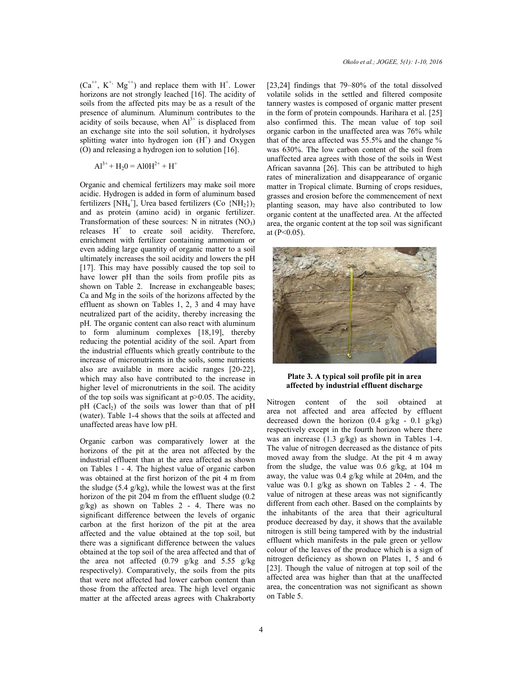$(Ca^{++}, K^+, Mg^{++})$  and replace them with  $H^+$ . Lower horizons are not strongly leached [16]. The acidity of soils from the affected pits may be as a result of the presence of aluminum. Aluminum contributes to the acidity of soils because, when  $Al^{3+}$  is displaced from an exchange site into the soil solution, it hydrolyses splitting water into hydrogen ion  $(H<sup>+</sup>)$  and Oxygen (O) and releasing a hydrogen ion to solution [16].

$$
Al^{3+} + H_2O = AlOH^{2+} + H^+
$$

Organic and chemical fertilizers may make soil more acidic. Hydrogen is added in form of aluminum based fertilizers [NH<sub>4</sub><sup>+</sup>], Urea based fertilizers (Co {NH<sub>2</sub>})<sub>2</sub> and as protein (amino acid) in organic fertilizer. Transformation of these sources: N in nitrates  $(NO<sub>3</sub>)$ releases  $H^+$  to create soil acidity. Therefore, enrichment with fertilizer containing ammonium or even adding large quantity of organic matter to a soil ultimately increases the soil acidity and lowers the pH [17]. This may have possibly caused the top soil to have lower pH than the soils from profile pits as shown on Table 2. Increase in exchangeable bases; Ca and Mg in the soils of the horizons affected by the effluent as shown on Tables 1, 2, 3 and 4 may have neutralized part of the acidity, thereby increasing the pH. The organic content can also react with aluminum to form aluminum complexes [18,19], thereby reducing the potential acidity of the soil. Apart from the industrial effluents which greatly contribute to the increase of micronutrients in the soils, some nutrients also are available in more acidic ranges [20-22], which may also have contributed to the increase in higher level of micronutrients in the soil. The acidity of the top soils was significant at  $p > 0.05$ . The acidity,  $pH$  (Cacl<sub>2</sub>) of the soils was lower than that of  $pH$ (water). Table 1-4 shows that the soils at affected and unaffected areas have low pH.

Organic carbon was comparatively lower at the horizons of the pit at the area not affected by the industrial effluent than at the area affected as shown on Tables 1 - 4. The highest value of organic carbon was obtained at the first horizon of the pit 4 m from the sludge (5.4 g/kg), while the lowest was at the first horizon of the pit 204 m from the effluent sludge (0.2 g/kg) as shown on Tables 2 - 4. There was no significant difference between the levels of organic carbon at the first horizon of the pit at the area affected and the value obtained at the top soil, but there was a significant difference between the values obtained at the top soil of the area affected and that of the area not affected (0.79 g/kg and 5.55 g/kg respectively). Comparatively, the soils from the pits that were not affected had lower carbon content than those from the affected area. The high level organic matter at the affected areas agrees with Chakraborty [23,24] findings that 79–80% of the total dissolved volatile solids in the settled and filtered composite tannery wastes is composed of organic matter present in the form of protein compounds. Harihara et al. [25] also confirmed this. The mean value of top soil organic carbon in the unaffected area was 76% while that of the area affected was 55.5% and the change % was 630%. The low carbon content of the soil from unaffected area agrees with those of the soils in West African savanna [26]. This can be attributed to high rates of mineralization and disappearance of organic matter in Tropical climate. Burning of crops residues, grasses and erosion before the commencement of next planting season, may have also contributed to low organic content at the unaffected area. At the affected area, the organic content at the top soil was significant at  $(P<0.05)$ .



#### **Plate 3. A typical soil profile pit in area affected by industrial effluent discharge**

Nitrogen content of the soil obtained at area not affected and area affected by effluent decreased down the horizon  $(0.4 \text{ g/kg} - 0.1 \text{ g/kg})$ respectively except in the fourth horizon where there was an increase (1.3 g/kg) as shown in Tables 1-4. The value of nitrogen decreased as the distance of pits moved away from the sludge. At the pit 4 m away from the sludge, the value was 0.6 g/kg, at 104 m away, the value was 0.4 g/kg while at 204m, and the value was 0.1 g/kg as shown on Tables 2 - 4. The value of nitrogen at these areas was not significantly different from each other. Based on the complaints by the inhabitants of the area that their agricultural produce decreased by day, it shows that the available nitrogen is still being tampered with by the industrial effluent which manifests in the pale green or yellow colour of the leaves of the produce which is a sign of nitrogen deficiency as shown on Plates 1, 5 and 6 [23]. Though the value of nitrogen at top soil of the affected area was higher than that at the unaffected area, the concentration was not significant as shown on Table 5.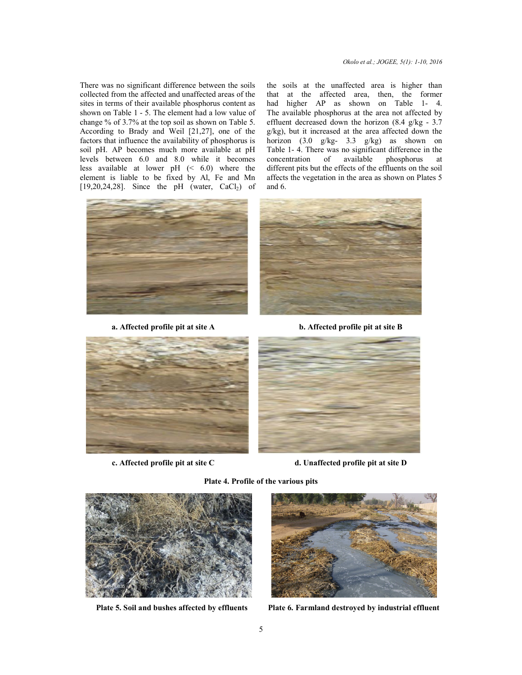There was no significant difference between the soils collected from the affected and unaffected areas of the sites in terms of their available phosphorus content as shown on Table 1 - 5. The element had a low value of change % of 3.7% at the top soil as shown on Table 5. According to Brady and Weil [21,27], one of the factors that influence the availability of phosphorus is soil pH. AP becomes much more available at pH levels between 6.0 and 8.0 while it becomes less available at lower pH (< 6.0) where the element is liable to be fixed by Al, Fe and Mn [19,20,24,28]. Since the pH (water,  $CaCl<sub>2</sub>$ ) of ifference between the soils<br>and unaffected areas of the<br>able phosphorus content as ble  $1 - 5$ . The element had a low value of 3.7% at the top soil as shown on Table 5.<br>
b Brady and Weil  $[21,27]$ , one of the is that influence the availability of phosphorus is<br>
H. AP becomes much more available at pH<br>
between 6.0 and 8.0 while it becomes<br>
available at lower pH ( $\leq 6.0$ ) where the<br>
ent is liable to be fixed by Al, Fe and Mn<br>



**a. Affected profile pit at site A** 







**c.** Affected profile pit at site C  $\qquad \qquad$  **d.** Unaffected pro

**b. Affected profile pit at site B**



**d. Unaffected profile pit at site D pit** 



**Plate 5. Soil and bushes affected by effluents**



Plate 6. Farmland destroyed by industrial effluent

**Plate 4 4. Profile of the various pits**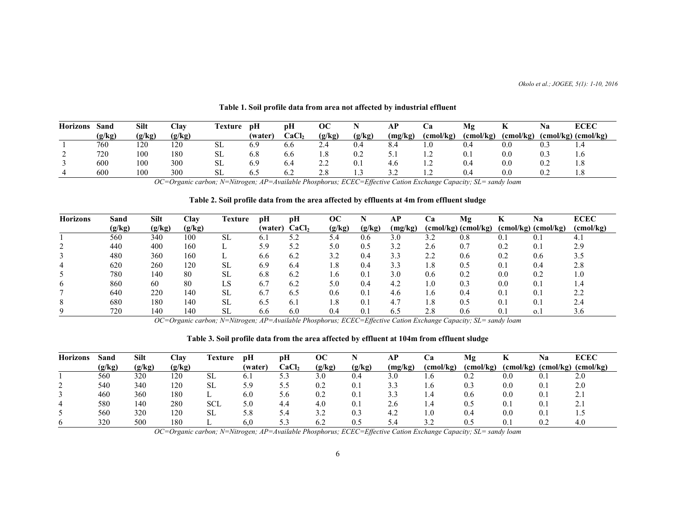| <b>Horizons</b> | Sand   | Silt   | Clav   | Fexture   | pH     | рH    | $\overline{OC}$ |        | <b>AP</b> | Cа                              | Mg        | n.        | Na  | <b>ECEC</b>             |
|-----------------|--------|--------|--------|-----------|--------|-------|-----------------|--------|-----------|---------------------------------|-----------|-----------|-----|-------------------------|
|                 | (g/kg) | (g/kg) | (g/kg) |           | (water | CaCl, | (g/kg)          | (g/kg) | (mg/kg)   | (cmol/kg)                       | (cmol/kg) | (cmol/kg) |     | $(cmol/kg)$ $(cmol/kg)$ |
|                 | 760    | 120    | 120    | SL        | 6.9    | 6.6   | $\angle 74$     | 0.4    |           | 1.0                             | 0.4       | 0.0       | U.S | 1.4                     |
| ∼               | 720    | 100    | 180    | <b>SL</b> | 6.8    | 6.6   | $\cdot$ .0      | 0.2    | ັ.        |                                 | U.1       | 0.0       | U.S | 1.6                     |
|                 | 600    | 100    | 300    | <b>SL</b> | 6.9    | 0.4   | <u>.</u>        | 0.1    | 4.0       | $\overline{1}$ .                | 0.4       | 0.0       | 0.2 | 1.8                     |
|                 | 600    | 100    | 300    | SL        | 6.5    | 6.2   | $\angle$ .0     | .      |           | $\overline{1}$ . $\overline{2}$ | 0.4       | 0.0       | U.Z | 1.8                     |

### **Table 1. Soil profile data from area not affected by industrial effluent**

*OC=Organic carbon; N=Nitrogen; AP=Available Phosphorus; ECEC=Effective Cation Exchange Capacity; SL= sandy loam*

## **Table 2. Soil profile data from the area affected by effluents at 4m from effluent sludge**

| <b>Horizons</b> | Sand   | <b>Silt</b> | Clav   | <b>Texture</b> | рH      | рH                | OС     |        | АP      | Cа                             | Mg                  | ĸ           | <b>Na</b>               | <b>ECEC</b> |
|-----------------|--------|-------------|--------|----------------|---------|-------------------|--------|--------|---------|--------------------------------|---------------------|-------------|-------------------------|-------------|
|                 | (g/kg) | (g/kg)      | (g/kg) |                | (water) | CaCl <sub>2</sub> | (g/kg) | (g/kg) | (mg/kg) |                                | (cmol/kg) (cmol/kg) |             | $(cmol/kg)$ $(cmol/kg)$ | (cmol/kg)   |
|                 | 560    | 340         | 100    | <b>SL</b>      | 6. .    | ے ۔               | 5.4    | 0.6    | 3.0     | 3.2                            | 0.8                 | $0_{1}$     | 0.1                     | 4.1         |
|                 | 440    | 400         | 160    |                | 5.9     | 5.2               | 5.0    | 0.5    | 3.2     | 2.6                            | 0.7                 | 0.2         | 0.1                     | 2.9         |
|                 | 480    | 360         | 160    |                | 6.6     | 6.2               |        | 0.4    | 3.3     | 2.2                            | 0.6                 | 0.2         | 0.6                     | 3.5         |
|                 | 620    | 260         | 120    | <b>SL</b>      | 6.9     | 6.4               | 1.8    | 0.4    | 3.3     | 1.8                            | 0.5                 | 0.1         | 0.4                     | 2.8         |
|                 | 780    | 140         | 80     | <b>SL</b>      | 6.8     | 6.2               | 1.6    | 0.1    | 3.0     | 0.6                            | 0.2                 | 0.0         | 0.2                     | 1.0         |
| 6               | 860    | 60          | 80     | LS             | 6.7     | 6.2               | 5.0    | 0.4    | 4.2     | $0_{\scriptscriptstyle \perp}$ | 0.3                 | 0.0         | 0.1                     |             |
|                 | 640    | 220         | 140    | <b>SL</b>      | 6.7     | 6.5               | 0.6    | 0.1    | 4.6     | . . 6                          | 0.4                 | 0.1         | 0.1                     |             |
| 8               | 680    | 180         | 140    | <b>SL</b>      | 6.5     | 6.1               | 1.8    | 0.1    | 4.7     | . 8                            | 0.5                 | $0_{\cdot}$ | 0.1                     | 2.4         |
|                 | 720    | 140         | 140    | SL             | 6.6     | 6.0               | 0.4    | 0.1    | 6.5     | 2.8                            | 0.6                 | 0.1         | 0.1                     | 3.6         |

*OC=Organic carbon; N=Nitrogen; AP=Available Phosphorus; ECEC=Effective Cation Exchange Capacity; SL= sandy loam*

## **Table 3. Soil profile data from the area affected by effluent at 104m from effluent sludge**

| <b>Horizons</b> | Sand   | Silt   | Clav   | Fexture    | pH      | рH    | OС          |        | AP      | Uα        | Mg        |         | <b>Na</b>           | <b>ECEC</b>          |
|-----------------|--------|--------|--------|------------|---------|-------|-------------|--------|---------|-----------|-----------|---------|---------------------|----------------------|
|                 | (g/kg) | (g/kg) | (g/kg) |            | (water) | CaCl, | (g/kg)      | (g/kg) | (mg/kg) | (cmol/kg) | (cmol/kg) |         | (cmol/kg) (cmol/kg) | (cmol/kg)            |
|                 | 560    | 320    | 120    | <b>SL</b>  | 6.1     | 5.3   | 3.0         | 0.4    | 3.0     | 1.6       | 0.2       | 0.0     | 0.1                 | 2.0                  |
|                 | 540    | 340    | 120    | SL         | 5.9     | 5.5   | 0.2         | 0.1    | 3.3     | 1.6       | 0.3       | 0.0     | 0.1                 | 2.0                  |
|                 | 460    | 360    | 180    |            | 6.0     | 5.6   | 0.2         | 0.1    | ۔ ۔     | 4.4       | 0.6       | 0.0     | 0.1                 | 2.1                  |
| 4               | 580    | 140    | 280    | <b>SCL</b> | 5.0     | 4.4   | 4.0         | 0.1    | 2.6     | 1.4       | 0.5       | 0.1     | 0.1                 | $\sim$<br>$\angle 1$ |
|                 | 560    | 320    | 120    | <b>SL</b>  | 5.8     | 5.4   | 39<br>ے . د | 0.3    | 4.2     | 1.0       | 0.4       | 0.0     | 0.1                 | 1.5                  |
| O               | 320    | 500    | 180    |            | 6.0     | 5.3   | 6.2         | 0.5    | 5.4     | 32<br>ے.د | 0.5       | $0.1\,$ | 0.2                 | 4.0                  |

*OC=Organic carbon; N=Nitrogen; AP=Available Phosphorus; ECEC=Effective Cation Exchange Capacity; SL= sandy loam*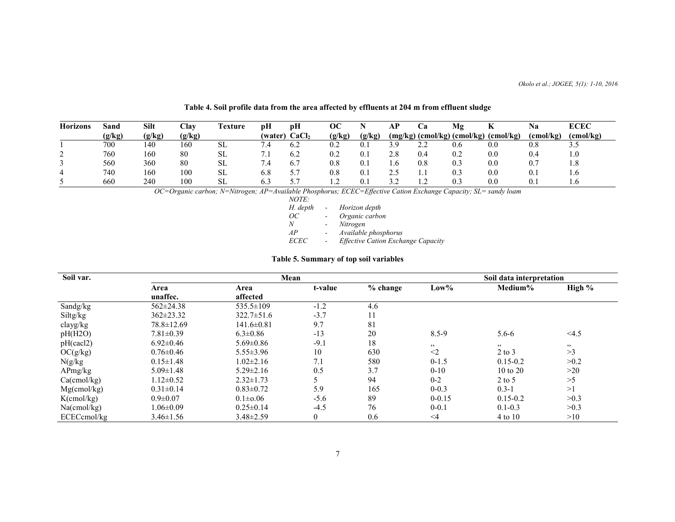| <b>Horizons</b> | Sand   | Silt   | Clav   | l'exture | pН      | рH                | OС     |                                                | AD. | Ċа                            | Mg  | n.                 | Na        | <b>ECEC</b> |
|-----------------|--------|--------|--------|----------|---------|-------------------|--------|------------------------------------------------|-----|-------------------------------|-----|--------------------|-----------|-------------|
|                 | (g/kg) | (g/kg) | (g/kg) |          | (water) | CaCl <sub>2</sub> | (g/kg) | $\left[\mathbf{g}/\mathbf{k}\mathbf{g}\right]$ |     | $(mg/kg)$ (cmol/kg) (cmol/kg) |     | $(\text{cmol/kg})$ | (cmol/kg) | (cmol/kg)   |
|                 | 700    | 140    | 160    | SL       | .4      | 6.2               | 0.2    | 0.1                                            |     | $\sim$<br>$\overline{a}$      | 0.6 | 0.0                | 0.8       | ں . ب       |
| ∼               | 760    | 160    | 80     | SL       |         | 6.2               | 0.2    | $0.1\,$                                        | 2.8 | 0.4                           | 0.2 | 0.0                | 0.4       | 1.0         |
|                 | 560    | 360    | 80     | SL       |         | 6.7               | 0.8    | 0.1                                            |     | 0.8                           | 0.3 | 0.0                | 0.7       | 1.8         |
| 4               | 740    | 160    | 100    | SL       | 6.8     | J.                | 0.8    | 0.1                                            |     |                               | 0.3 | 0.0                | 0.1       | 1.0         |
|                 | 660    | 240    | 100    | SL       | 0.3     | 57<br>ັ.          |        | 0.1                                            |     | .                             | 0.3 | 0.0                | U.1       |             |

# **Table 4. Soil profile data from the area affected by effluents at 204 m from effluent sludge**

*OC=Organic carbon; N=Nitrogen; AP=Available Phosphorus; ECEC=Effective Cation Exchange Capacity; SL= sandy loam*

| NOTE:       |        |                                           |
|-------------|--------|-------------------------------------------|
| H. depth    | $\sim$ | Horizon depth                             |
| ОC          |        | Organic carbon                            |
| N           |        | Nitrogen                                  |
| AP          |        | Available phosphorus                      |
| <i>ECEC</i> |        | <b>Effective Cation Exchange Capacity</b> |

# **Table 5. Summary of top soil variables**

| Soil var.      |                  | Mean             | Soil data interpretation |          |            |                     |        |
|----------------|------------------|------------------|--------------------------|----------|------------|---------------------|--------|
|                | Area             | Area             | t-value                  | % change | $Low\%$    | Medium%             | High % |
|                | unaffec.         | affected         |                          |          |            |                     |        |
| Sandg/kg       | $562 \pm 24.38$  | $535.5 \pm 109$  | $-1.2$                   | 4.6      |            |                     |        |
| Siltg/kg       | $362 \pm 23.32$  | $322.7 \pm 51.6$ | $-3.7$                   | 11       |            |                     |        |
| clayg/kg       | $78.8 \pm 12.69$ | $141.6 \pm 0.81$ | 9.7                      | 81       |            |                     |        |
| pH(H2O)        | $7.81 \pm 0.39$  | $6.3 \pm 0.86$   | $-13$                    | 20       | $8.5 - 9$  | $5.6 - 6$           | <4.5   |
| pH(cacl2)      | $6.92 \pm 0.46$  | $5.69 \pm 0.86$  | $-9.1$                   | 18       | , 2, 3     | 22                  | , 2, 3 |
| OC(g/kg)       | $0.76 \pm 0.46$  | $5.55 \pm 3.96$  | 10                       | 630      | $\leq$ 2   | $2$ to $3$          | >3     |
| N(g/kg)        | $0.15 \pm 1.48$  | $1.02 \pm 2.16$  | 7.1                      | 580      | $0-1.5$    | $0.15 - 0.2$        | >0.2   |
| APmg/kg        | $5.09 \pm 1.48$  | $5.29 \pm 2.16$  | 0.5                      | 3.7      | $0 - 10$   | $10 \text{ to } 20$ | >20    |
| Ca(cmol/kg)    | $1.12 \pm 0.52$  | $2.32 \pm 1.73$  |                          | 94       | $0 - 2$    | $2$ to 5            | >5     |
| $Mg$ (cmol/kg) | $0.31 \pm 0.14$  | $0.83 \pm 0.72$  | 5.9                      | 165      | $0 - 0.3$  | $0.3 - 1$           | >1     |
| $K$ (cmol/kg)  | $0.9 \pm 0.07$   | $0.1 \pm 0.06$   | $-5.6$                   | 89       | $0 - 0.15$ | $0.15 - 0.2$        | >0.3   |
| $Na$ (cmol/kg) | $1.06 \pm 0.09$  | $0.25 \pm 0.14$  | $-4.5$                   | 76       | $0 - 0.1$  | $0.1 - 0.3$         | >0.3   |
| ECECcmol/kg    | $3.46 \pm 1.56$  | $3.48 \pm 2.59$  | $\theta$                 | 0.6      | $\leq$ 4   | 4 to 10             | >10    |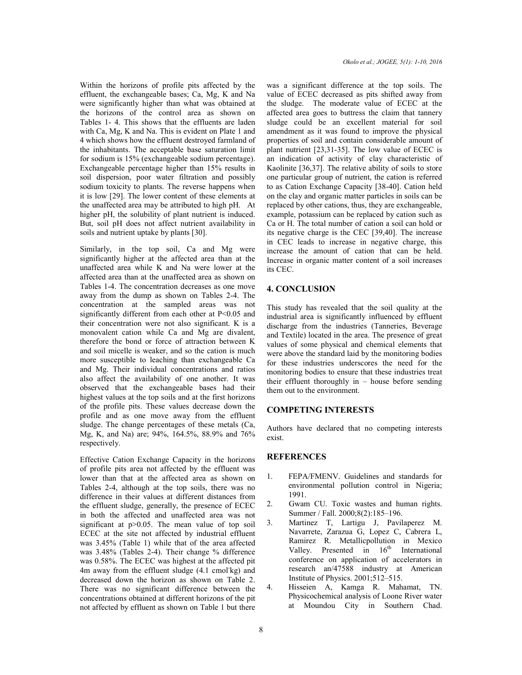Within the horizons of profile pits affected by the effluent, the exchangeable bases; Ca, Mg, K and Na were significantly higher than what was obtained at the horizons of the control area as shown on Tables 1- 4. This shows that the effluents are laden with Ca, Mg, K and Na. This is evident on Plate 1 and 4 which shows how the effluent destroyed farmland of the inhabitants. The acceptable base saturation limit for sodium is 15% (exchangeable sodium percentage). Exchangeable percentage higher than 15% results in soil dispersion, poor water filtration and possibly sodium toxicity to plants. The reverse happens when it is low [29]. The lower content of these elements at the unaffected area may be attributed to high pH. At higher pH, the solubility of plant nutrient is induced. But, soil pH does not affect nutrient availability in soils and nutrient uptake by plants [30].

Similarly, in the top soil, Ca and Mg were significantly higher at the affected area than at the unaffected area while K and Na were lower at the affected area than at the unaffected area as shown on Tables 1-4. The concentration decreases as one move away from the dump as shown on Tables 2-4. The concentration at the sampled areas was not significantly different from each other at P<0.05 and their concentration were not also significant. K is a monovalent cation while Ca and Mg are divalent, therefore the bond or force of attraction between K and soil micelle is weaker, and so the cation is much more susceptible to leaching than exchangeable Ca and Mg. Their individual concentrations and ratios also affect the availability of one another. It was observed that the exchangeable bases had their highest values at the top soils and at the first horizons of the profile pits. These values decrease down the profile and as one move away from the effluent sludge. The change percentages of these metals (Ca, Mg, K, and Na) are; 94%, 164.5%, 88.9% and 76% respectively.

Effective Cation Exchange Capacity in the horizons of profile pits area not affected by the effluent was lower than that at the affected area as shown on Tables 2-4, although at the top soils, there was no difference in their values at different distances from the effluent sludge, generally, the presence of ECEC in both the affected and unaffected area was not significant at  $p>0.05$ . The mean value of top soil ECEC at the site not affected by industrial effluent was 3.45% (Table 1) while that of the area affected was 3.48% (Tables 2-4). Their change % difference was 0.58%. The ECEC was highest at the affected pit 4m away from the effluent sludge (4.1 cmol-kg) and decreased down the horizon as shown on Table 2. There was no significant difference between the concentrations obtained at different horizons of the pit not affected by effluent as shown on Table 1 but there

was a significant difference at the top soils. The value of ECEC decreased as pits shifted away from the sludge. The moderate value of ECEC at the affected area goes to buttress the claim that tannery sludge could be an excellent material for soil amendment as it was found to improve the physical properties of soil and contain considerable amount of plant nutrient [23,31-35]. The low value of ECEC is an indication of activity of clay characteristic of Kaolinite [36,37]. The relative ability of soils to store one particular group of nutrient, the cation is referred to as Cation Exchange Capacity [38-40]. Cation held on the clay and organic matter particles in soils can be replaced by other cations, thus, they are exchangeable, example, potassium can be replaced by cation such as Ca or H. The total number of cation a soil can hold or its negative charge is the CEC [39,40]. The increase in CEC leads to increase in negative charge, this increase the amount of cation that can be held. Increase in organic matter content of a soil increases its CEC.

#### **4. CONCLUSION**

This study has revealed that the soil quality at the industrial area is significantly influenced by effluent discharge from the industries (Tanneries, Beverage and Textile) located in the area. The presence of great values of some physical and chemical elements that were above the standard laid by the monitoring bodies for these industries underscores the need for the monitoring bodies to ensure that these industries treat their effluent thoroughly in – house before sending them out to the environment.

## **COMPETING INTERESTS**

Authors have declared that no competing interests exist.

#### **REFERENCES**

- 1. FEPA/FMENV. Guidelines and standards for environmental pollution control in Nigeria; 1991.
- 2. Gwam CU. Toxic wastes and human rights. Summer / Fall. 2000;8(2):185–196.
- 3. Martinez T, Lartigu J, Pavilaperez M. Navarrete, Zarazua G, Lopez C, Cabrera L, Ramirez R. Metallicpollution in Mexico Valley. Presented in  $16<sup>th</sup>$  International conference on application of accelerators in research an/47588 industry at American Institute of Physics. 2001;512–515.
- 4. Hisseien A, Kamga R. Mahamat, TN. Physicochemical analysis of Loone River water at Moundou City in Southern Chad.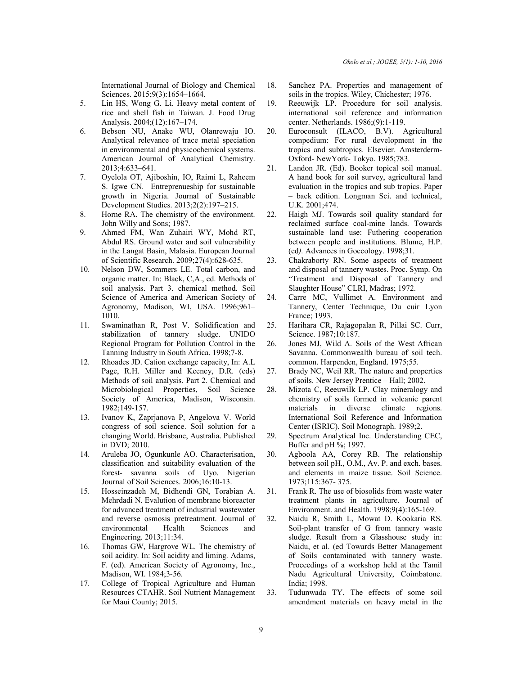International Journal of Biology and Chemical Sciences. 2015;9(3):1654–1664.

- 5. Lin HS, Wong G. Li. Heavy metal content of rice and shell fish in Taiwan. J. Food Drug Analysis. 2004;(12):167–174.
- 6. Bebson NU, Anake WU, Olanrewaju IO. Analytical relevance of trace metal speciation in environmental and physicochemical systems. American Journal of Analytical Chemistry. 2013;4:633–641.
- 7. Oyelola OT, Ajiboshin, IO, Raimi L, Raheem S. Igwe CN. Entreprenueship for sustainable growth in Nigeria. Journal of Sustainable Development Studies. 2013;2(2):197–215.
- 8. Horne RA. The chemistry of the environment. John Willy and Sons; 1987.
- 9. Ahmed FM, Wan Zuhairi WY, Mohd RT, Abdul RS. Ground water and soil vulnerability in the Langat Basin, Malasia. European Journal of Scientific Research. 2009;27(4):628-635.
- 10. Nelson DW, Sommers LE. Total carbon, and organic matter. In: Black, C,A., ed. Methods of soil analysis. Part 3. chemical method. Soil Science of America and American Society of Agronomy, Madison, WI, USA. 1996;961-1010.
- 11. Swaminathan R, Post V. Solidification and stabilization of tannery sludge. UNIDO Regional Program for Pollution Control in the Tanning Industry in South Africa. 1998;7-8.
- 12. Rhoades JD. Cation exchange capacity, In: A.L Page, R.H. Miller and Keeney, D.R. (eds) Methods of soil analysis. Part 2. Chemical and Microbiological Properties, Soil Science Society of America, Madison, Wisconsin. 1982;149-157.
- 13. Ivanov K, Zaprjanova P, Angelova V. World congress of soil science. Soil solution for a changing World. Brisbane, Australia. Published in DVD; 2010.
- 14. Aruleba JO, Ogunkunle AO. Characterisation, classification and suitability evaluation of the forest- savanna soils of Uyo. Nigerian Journal of Soil Sciences. 2006;16:10-13.
- 15. Hosseinzadeh M, Bidhendi GN, Torabian A. Mehrdadi N. Evalution of membrane bioreactor for advanced treatment of industrial wastewater and reverse osmosis pretreatment. Journal of environmental Health Sciences and Engineering. 2013;11:34.
- 16. Thomas GW, Hargrove WL. The chemistry of soil acidity. In: Soil acidity and liming. Adams, F. (ed). American Society of Agronomy, Inc., Madison, WI. 1984;3-56.
- 17. College of Tropical Agriculture and Human Resources CTAHR. Soil Nutrient Management for Maui County; 2015.
- 18. Sanchez PA. Properties and management of soils in the tropics. Wiley, Chichester; 1976.
- 19. Reeuwijk LP. Procedure for soil analysis. international soil reference and information center. Netherlands. 1986;(9):1-119.
- 20. Euroconsult (ILACO, B.V). Agricultural compedium: For rural development in the tropics and subtropics. Elsevier. Amsterderm-Oxford- NewYork- Tokyo. 1985;783.
- 21. Landon JR. (Ed). Booker topical soil manual. A hand book for soil survey, agricultural land evaluation in the tropics and sub tropics. Paper – back edition. Longman Sci. and technical, U.K. 2001;474.
- 22. Haigh MJ. Towards soil quality standard for reclaimed surface coal-mine lands. Towards sustainable land use: Futhering cooperation between people and institutions. Blume, H.P. (ed*).* Advances in Goecology. 1998;31.
- 23. Chakraborty RN. Some aspects of treatment and disposal of tannery wastes. Proc. Symp. On "Treatment and Disposal of Tannery and Slaughter House" CLRI, Madras; 1972.
- 24. Carre MC, Vullimet A. Environment and Tannery, Center Technique, Du cuir Lyon France; 1993.
- 25. Harihara CR, Rajagopalan R, Pillai SC. Curr, Science. 1987;10:187.
- 26. Jones MJ, Wild A. Soils of the West African Savanna. Commonwealth bureau of soil tech. common. Harpenden, England. 1975;55.
- 27. Brady NC, Weil RR. The nature and properties of soils. New Jersey Prentice – Hall; 2002.
- 28. Mizota C, Reeuwilk LP. Clay mineralogy and chemistry of soils formed in volcanic parent materials in diverse climate regions. International Soil Reference and Information Center (ISRIC). Soil Monograph. 1989;2.
- 29. Spectrum Analytical Inc. Understanding CEC, Buffer and pH %; 1997.
- 30. Agboola AA, Corey RB. The relationship between soil pH., O.M., Av. P. and exch. bases. and elements in maize tissue. Soil Science. 1973;115:367- 375.
- 31. Frank R. The use of biosolids from waste water treatment plants in agriculture. Journal of Environment. and Health. 1998;9(4):165-169.
- 32. Naidu R, Smith L, Mowat D. Kookaria RS. Soil-plant transfer of G from tannery waste sludge. Result from a Glasshouse study in: Naidu, et al. (ed Towards Better Management of Soils contaminated with tannery waste. Proceedings of a workshop held at the Tamil Nadu Agricultural University, Coimbatone. India; 1998.
- 33. Tudunwada TY. The effects of some soil amendment materials on heavy metal in the